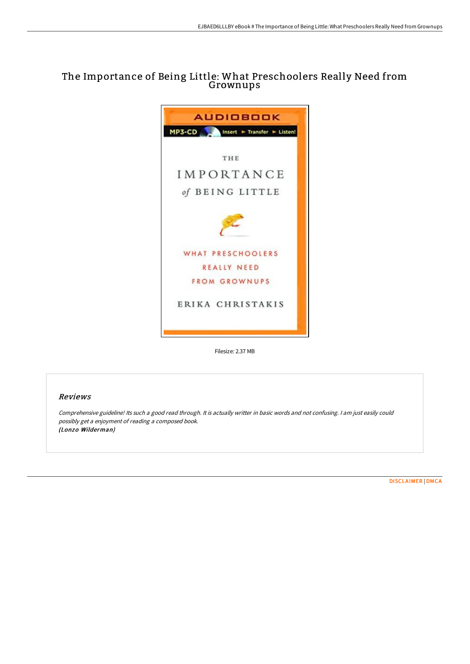# The Importance of Being Little: What Preschoolers Really Need from Grownups



Filesize: 2.37 MB

### Reviews

Comprehensive guideline! Its such <sup>a</sup> good read through. It is actually writter in basic words and not confusing. <sup>I</sup> am just easily could possibly get <sup>a</sup> enjoyment of reading <sup>a</sup> composed book. (Lonzo Wilderman)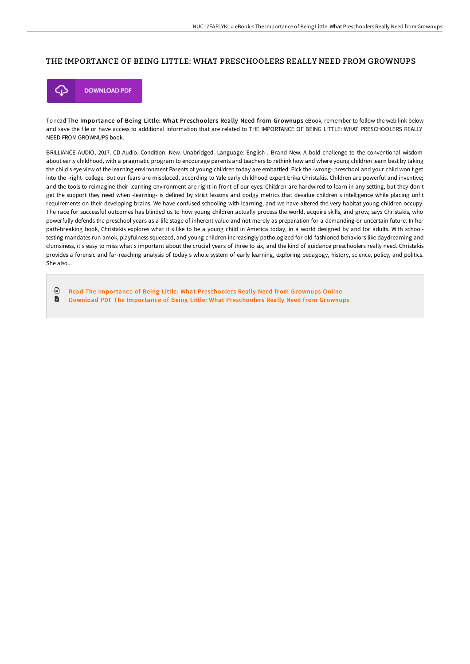# THE IMPORTANCE OF BEING LITTLE: WHAT PRESCHOOLERS REALLY NEED FROM GROWNUPS



To read The Importance of Being Little: What Preschoolers Really Need from Grownups eBook, remember to follow the web link below and save the file or have access to additional information that are related to THE IMPORTANCE OF BEING LITTLE: WHAT PRESCHOOLERS REALLY NEED FROM GROWNUPS book.

BRILLIANCE AUDIO, 2017. CD-Audio. Condition: New. Unabridged. Language: English . Brand New. A bold challenge to the conventional wisdom about early childhood, with a pragmatic program to encourage parents and teachers to rethink how and where young children learn best by taking the child s eye view of the learning environment Parents of young children today are embattled: Pick the -wrong- preschool and your child won t get into the -right- college. But our fears are misplaced, according to Yale early childhood expert Erika Christakis. Children are powerful and inventive; and the tools to reimagine their learning environment are right in front of our eyes. Children are hardwired to learn in any setting, but they don t get the support they need when -learning- is defined by strict lessons and dodgy metrics that devalue children s intelligence while placing unfit requirements on their developing brains. We have confused schooling with learning, and we have altered the very habitat young children occupy. The race for successful outcomes has blinded us to how young children actually process the world, acquire skills, and grow, says Christakis, who powerfully defends the preschool years as a life stage of inherent value and not merely as preparation for a demanding or uncertain future. In her path-breaking book, Christakis explores what it s like to be a young child in America today, in a world designed by and for adults. With schooltesting mandates run amok, playfulness squeezed, and young children increasingly pathologized for old-fashioned behaviors like daydreaming and clumsiness, it s easy to miss what s important about the crucial years of three to six, and the kind of guidance preschoolers really need. Christakis provides a forensic and far-reaching analysis of today s whole system of early learning, exploring pedagogy, history, science, policy, and politics. She also...

品 Read The Importance of Being Little: What [Preschooler](http://albedo.media/the-importance-of-being-little-what-preschoolers-1.html)s Really Need from Grownups Online

 $\blacksquare$ Download PDF The Importance of Being Little: What [Preschooler](http://albedo.media/the-importance-of-being-little-what-preschoolers-1.html)s Really Need from Grownups